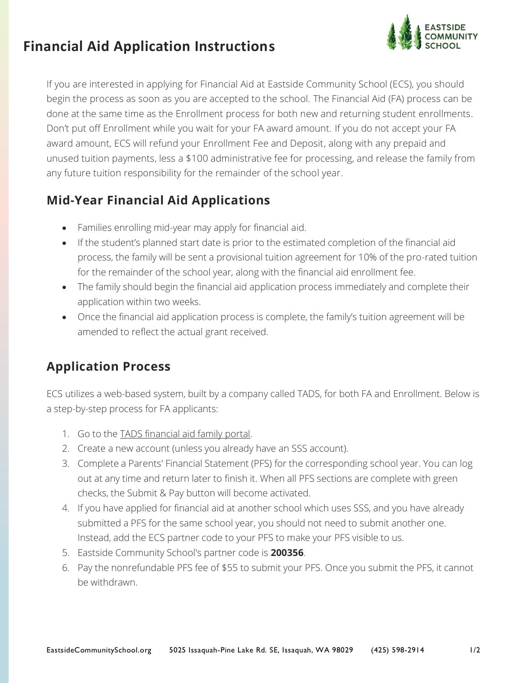## **Financial Aid Application Instructions**



If you are interested in applying for Financial Aid at Eastside Community School (ECS), you should begin the process as soon as you are accepted to the school. The Financial Aid (FA) process can be done at the same time as the Enrollment process for both new and returning student enrollments. Don't put off Enrollment while you wait for your FA award amount. If you do not accept your FA award amount, ECS will refund your Enrollment Fee and Deposit, along with any prepaid and unused tuition payments, less a \$100 administrative fee for processing, and release the family from any future tuition responsibility for the remainder of the school year.

## **Mid-Year Financial Aid Applications**

- Families enrolling mid-year may apply for financial aid.
- If the student's planned start date is prior to the estimated completion of the financial aid process, the family will be sent a provisional tuition agreement for 10% of the pro-rated tuition for the remainder of the school year, along with the financial aid enrollment fee.
- The family should begin the financial aid application process immediately and complete their application within two weeks.
- Once the financial aid application process is complete, the family's tuition agreement will be amended to reflect the actual grant received.

## **Application Process**

ECS utilizes a web-based system, built by a company called TADS, for both FA and Enrollment. Below is a step-by-step process for FA applicants:

- 1. Go to the [TADS financial aid family portal.](https://sssandtadsfa.force.com/familyportal)
- 2. Create a new account (unless you already have an SSS account).
- 3. Complete a Parents' Financial Statement (PFS) for the corresponding school year. You can log out at any time and return later to finish it. When all PFS sections are complete with green checks, the Submit & Pay button will become activated.
- 4. If you have applied for financial aid at another school which uses SSS, and you have already submitted a PFS for the same school year, you should not need to submit another one. Instead, add the ECS partner code to your PFS to make your PFS visible to us.
- 5. Eastside Community School's partner code is **200356**.
- 6. Pay the nonrefundable PFS fee of \$55 to submit your PFS. Once you submit the PFS, it cannot be withdrawn.